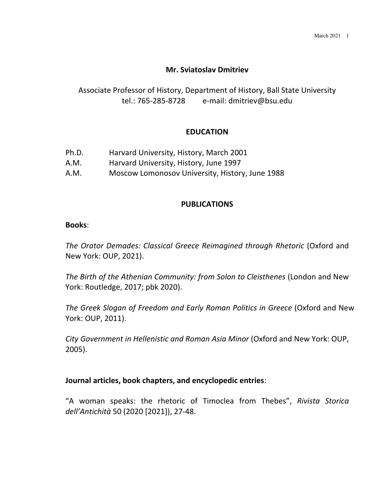# **Mr. Sviatoslav Dmitriev**

# Associate Professor of History, Department of History, Ball State University tel.: 765-285-8728 e-mail: dmitriev@bsu.edu

## **EDUCATION**

| Ph.D. | Harvard University, History, March 2001 |  |
|-------|-----------------------------------------|--|
|       |                                         |  |

- A.M. Harvard University, History, June 1997
- A.M. Moscow Lomonosov University, History, June 1988

## **PUBLICATIONS**

### **Books**:

The Orator Demades: Classical Greece Reimagined through Rhetoric (Oxford and New York: OUP, 2021).

*The Birth of the Athenian Community: from Solon to Cleisthenes* (London and New York: Routledge, 2017; pbk 2020).

The Greek Slogan of Freedom and Early Roman Politics in Greece (Oxford and New York: OUP, 2011).

*City Government in Hellenistic and Roman Asia Minor* (Oxford and New York: OUP, 2005).

### **Journal articles, book chapters, and encyclopedic entries:**

"A woman speaks: the rhetoric of Timoclea from Thebes", *Rivista Storica dell'Antichità* 50 (2020 [2021]), 27-48.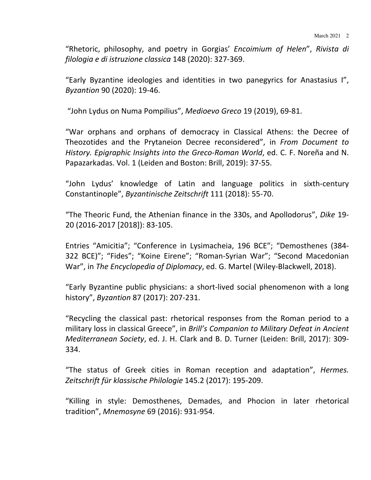"Rhetoric, philosophy, and poetry in Gorgias' *Encoimium of Helen"*, *Rivista di filologia e di istruzione classica* 148 (2020): 327-369.

"Early Byzantine ideologies and identities in two panegyrics for Anastasius I", *Byzantion* 90 (2020): 19-46. 

"John Lydus on Numa Pompilius", Medioevo Greco 19 (2019), 69-81.

"War orphans and orphans of democracy in Classical Athens: the Decree of Theozotides and the Prytaneion Decree reconsidered", in From Document to *History. Epigraphic Insights into the Greco-Roman World, ed. C. F. Noreña and N.* Papazarkadas. Vol. 1 (Leiden and Boston: Brill, 2019): 37-55.

"John Lydus' knowledge of Latin and language politics in sixth-century Constantinople", *Byzantinische Zeitschrift* 111 (2018): 55-70.

"The Theoric Fund, the Athenian finance in the 330s, and Apollodorus", *Dike* 19-20 (2016-2017 [2018]): 83-105.

Entries "Amicitia"; "Conference in Lysimacheia, 196 BCE"; "Demosthenes (384-322 BCE)"; "Fides"; "Koine Eirene"; "Roman-Syrian War"; "Second Macedonian War", in The Encyclopedia of Diplomacy, ed. G. Martel (Wiley-Blackwell, 2018).

"Early Byzantine public physicians: a short-lived social phenomenon with a long history", *Byzantion* 87 (2017): 207-231.

"Recycling the classical past: rhetorical responses from the Roman period to a military loss in classical Greece", in *Brill's Companion to Military Defeat in Ancient Mediterranean Society*, ed. J. H. Clark and B. D. Turner (Leiden: Brill, 2017): 309-334.

"The status of Greek cities in Roman reception and adaptation", *Hermes.* Zeitschrift für klassische Philologie 145.2 (2017): 195-209.

"Killing in style: Demosthenes, Demades, and Phocion in later rhetorical tradition", *Mnemosyne* 69 (2016): 931-954.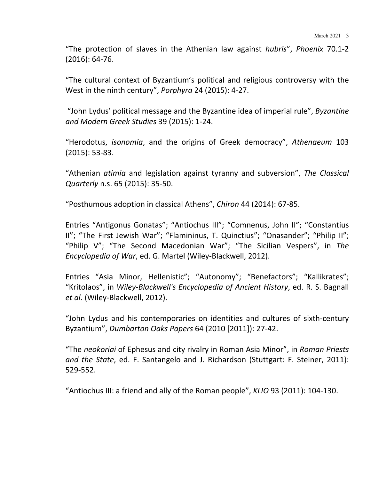"The protection of slaves in the Athenian law against *hubris"*, *Phoenix* 70.1-2  $(2016): 64-76.$ 

"The cultural context of Byzantium's political and religious controversy with the West in the ninth century", *Porphyra* 24 (2015): 4-27.

"John Lydus' political message and the Byzantine idea of imperial rule", *Byzantine and Modern Greek Studies* 39 (2015): 1-24.

"Herodotus, *isonomia*, and the origins of Greek democracy", Athenaeum 103  $(2015): 53-83.$ 

"Athenian *atimia* and legislation against tyranny and subversion", The Classical *Quarterly* n.s. 65 (2015): 35-50.

"Posthumous adoption in classical Athens", *Chiron* 44 (2014): 67-85.

Entries "Antigonus Gonatas"; "Antiochus III"; "Comnenus, John II"; "Constantius II"; "The First Jewish War"; "Flamininus, T. Quinctius"; "Onasander"; "Philip II"; "Philip V"; "The Second Macedonian War"; "The Sicilian Vespers", in The *Encyclopedia of War*, ed. G. Martel (Wiley-Blackwell, 2012).

Entries "Asia Minor, Hellenistic"; "Autonomy"; "Benefactors"; "Kallikrates"; "Kritolaos", in *Wiley-Blackwell's Encyclopedia of Ancient History*, ed. R. S. Bagnall *et al.* (Wiley-Blackwell, 2012).

"John Lydus and his contemporaries on identities and cultures of sixth-century Byzantium", *Dumbarton Oaks Papers* 64 (2010 [2011]): 27-42.

"The *neokoriai* of Ephesus and city rivalry in Roman Asia Minor", in *Roman Priests and the State, ed. F. Santangelo and J. Richardson (Stuttgart: F. Steiner, 2011):* 529-552.

"Antiochus III: a friend and ally of the Roman people", *KLIO* 93 (2011): 104-130.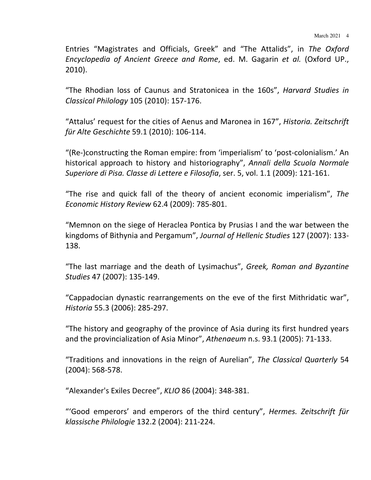Entries "Magistrates and Officials, Greek" and "The Attalids", in The Oxford *Encyclopedia of Ancient Greece and Rome*, ed. M. Gagarin *et al.* (Oxford UP., 2010).

"The Rhodian loss of Caunus and Stratonicea in the 160s", *Harvard Studies in Classical Philology* 105 (2010): 157-176.

"Attalus' request for the cities of Aenus and Maronea in 167", *Historia. Zeitschrift für Alte Geschichte* 59.1 (2010): 106-114.

"(Re-)constructing the Roman empire: from 'imperialism' to 'post-colonialism.' An historical approach to history and historiography", Annali della Scuola Normale *Superiore di Pisa. Classe di Lettere e Filosofia*, ser. 5, vol. 1.1 (2009): 121-161.

"The rise and quick fall of the theory of ancient economic imperialism", The *Economic History Review* 62.4 (2009): 785-801.

"Memnon on the siege of Heraclea Pontica by Prusias I and the war between the kingdoms of Bithynia and Pergamum", Journal of Hellenic Studies 127 (2007): 133-138.

"The last marriage and the death of Lysimachus", *Greek, Roman and Byzantine Studies* 47 (2007): 135-149.

"Cappadocian dynastic rearrangements on the eve of the first Mithridatic war", *Historia* 55.3 (2006): 285-297.

"The history and geography of the province of Asia during its first hundred years and the provincialization of Asia Minor", Athenaeum n.s. 93.1 (2005): 71-133.

"Traditions and innovations in the reign of Aurelian", *The Classical Quarterly* 54 (2004): 568-578.

"Alexander's Exiles Decree", *KLIO* 86 (2004): 348-381.

"'Good emperors' and emperors of the third century", *Hermes. Zeitschrift für klassische Philologie* 132.2 (2004): 211-224.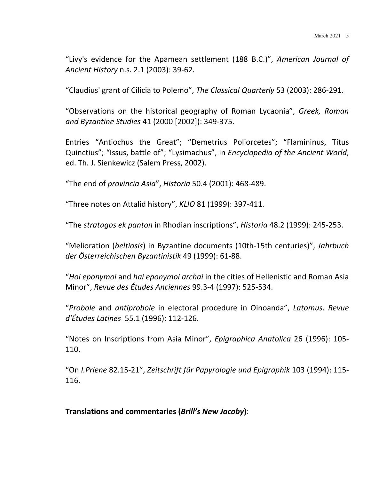"Livy's evidence for the Apamean settlement (188 B.C.)", *American Journal of Ancient History* n.s. 2.1 (2003): 39-62.

"Claudius' grant of Cilicia to Polemo", *The Classical Quarterly* 53 (2003): 286-291.

"Observations on the historical geography of Roman Lycaonia", *Greek*, *Roman and Byzantine Studies* 41 (2000 [2002]): 349-375.

Entries "Antiochus the Great"; "Demetrius Poliorcetes"; "Flamininus, Titus Quinctius"; "Issus, battle of"; "Lysimachus", in *Encyclopedia of the Ancient World*, ed. Th. J. Sienkewicz (Salem Press, 2002).

"The end of *provincia Asia"*, *Historia* 50.4 (2001): 468-489.

"Three notes on Attalid history", *KLIO* 81 (1999): 397-411.

"The *stratagos ek panton* in Rhodian inscriptions", *Historia* 48.2 (1999): 245-253.

"Melioration (beltiosis) in Byzantine documents (10th-15th centuries)", Jahrbuch *der Österreichischen Byzantinistik* 49 (1999): 61-88.

"*Hoi eponymoi* and *hai eponymoi archai* in the cities of Hellenistic and Roman Asia Minor", *Revue des Études Anciennes* 99.3-4 (1997): 525-534.

"*Probole* and *antiprobole* in electoral procedure in Oinoanda", *Latomus. Revue d'Études Latines* 55.1 (1996): 112-126.

"Notes on Inscriptions from Asia Minor", *Epigraphica Anatolica* 26 (1996): 105-110.

"On *I.Priene* 82.15-21", *Zeitschrift für Papyrologie und Epigraphik* 103 (1994): 115-116.

**Translations and commentaries (***Brill's New Jacoby***)**: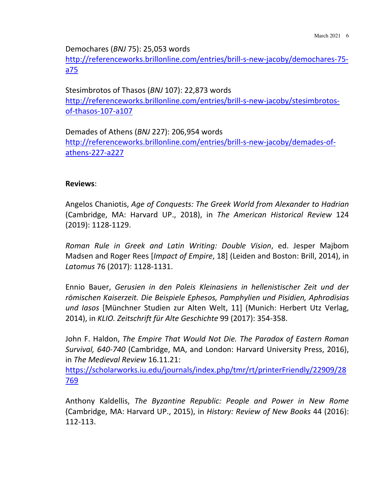Demochares (*BNJ* 75): 25,053 words

http://referenceworks.brillonline.com/entries/brill-s-new-jacoby/demochares-75 a75

Stesimbrotos of Thasos (*BNJ* 107): 22,873 words http://referenceworks.brillonline.com/entries/brill-s-new-jacoby/stesimbrotosof-thasos-107-a107

Demades of Athens (*BNJ* 227): 206,954 words http://referenceworks.brillonline.com/entries/brill-s-new-jacoby/demades-ofathens-227-a227

## **Reviews**:

Angelos Chaniotis, *Age of Conquests: The Greek World from Alexander to Hadrian* (Cambridge, MA: Harvard UP., 2018), in The American Historical Review 124 (2019): 1128-1129.

*Roman Rule in Greek and Latin Writing: Double Vision*, ed. Jesper Majbom Madsen and Roger Rees [*Impact of Empire*, 18] (Leiden and Boston: Brill, 2014), in Latomus 76 (2017): 1128-1131.

Ennio Bauer, Gerusien in den Poleis Kleinasiens in hellenistischer Zeit und der römischen Kaiserzeit. Die Beispiele Ephesos, Pamphylien und Pisidien, Aphrodisias und lasos [Münchner Studien zur Alten Welt, 11] (Munich: Herbert Utz Verlag, 2014), in *KLIO. Zeitschrift für Alte Geschichte* 99 (2017): 354-358.

John F. Haldon, *The Empire That Would Not Die. The Paradox of Eastern Roman Survival, 640-740* (Cambridge, MA, and London: Harvard University Press, 2016), in *The Medieval Review* 16.11.21:

https://scholarworks.iu.edu/journals/index.php/tmr/rt/printerFriendly/22909/28 769

Anthony Kaldellis, *The Byzantine Republic: People and Power in New Rome* (Cambridge, MA: Harvard UP., 2015), in *History: Review of New Books* 44 (2016): 112-113.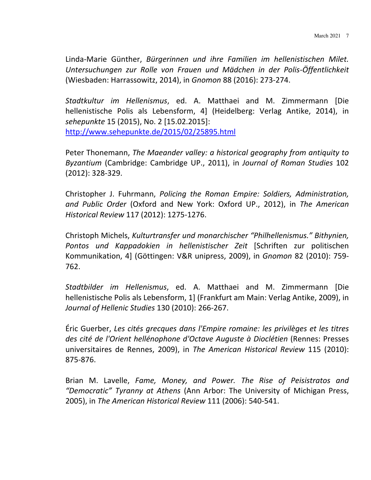Linda-Marie Günther, Bürgerinnen und ihre Familien im hellenistischen Milet. *Untersuchungen zur Rolle von Frauen und Mädchen in der Polis-Öffentlichkeit* (Wiesbaden: Harrassowitz, 2014), in *Gnomon* 88 (2016): 273-274.

*Stadtkultur im Hellenismus*, ed. A. Matthaei and M. Zimmermann [Die hellenistische Polis als Lebensform, 4] (Heidelberg: Verlag Antike, 2014), in *sehepunkte* 15 (2015), No. 2 [15.02.2015]: http://www.sehepunkte.de/2015/02/25895.html

Peter Thonemann, *The Maeander valley: a historical geography from antiquity to Byzantium* (Cambridge: Cambridge UP., 2011), in *Journal of Roman Studies* 102 (2012): 328-329.

Christopher J. Fuhrmann, *Policing the Roman Empire: Soldiers, Administration,* and Public Order (Oxford and New York: Oxford UP., 2012), in The American *Historical Review* 117 (2012): 1275-1276.

Christoph Michels, *Kulturtransfer und monarchischer* "Philhellenismus." Bithynien, Pontos und Kappadokien in hellenistischer Zeit [Schriften zur politischen Kommunikation, 4] (Göttingen: V&R unipress, 2009), in *Gnomon* 82 (2010): 759-762.

*Stadtbilder im Hellenismus*, ed. A. Matthaei and M. Zimmermann [Die hellenistische Polis als Lebensform, 1] (Frankfurt am Main: Verlag Antike, 2009), in *Journal of Hellenic Studies* 130 (2010): 266-267.

Éric Guerber, *Les cités grecques dans l'Empire romaine: les privilèges et les titres* des cité de l'Orient hellénophone d'Octave Auguste à Dioclétien (Rennes: Presses universitaires de Rennes, 2009), in The American Historical Review 115 (2010): 875-876.

Brian M. Lavelle, *Fame, Money, and Power. The Rise of Peisistratos and "Democratic" Tyranny at Athens* (Ann Arbor: The University of Michigan Press, 2005), in *The American Historical Review* 111 (2006): 540-541.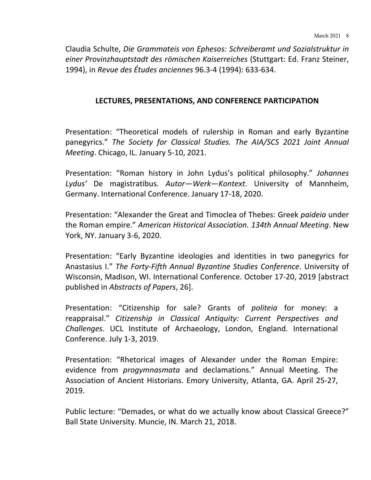Claudia Schulte, *Die Grammateis von Ephesos: Schreiberamt und Sozialstruktur in einer Provinzhauptstadt des römischen Kaiserreiches* (Stuttgart: Ed. Franz Steiner, 1994), in *Revue des Études anciennes* 96.3-4 (1994): 633-634.

## **LECTURES, PRESENTATIONS, AND CONFERENCE PARTICIPATION**

Presentation: "Theoretical models of rulership in Roman and early Byzantine panegyrics." The Society for Classical Studies. The AIA/SCS 2021 Joint Annual *Meeting*. Chicago, IL. January 5-10, 2021.

Presentation: "Roman history in John Lydus's political philosophy." *Johannes* Lydus' De magistratibus. Autor—Werk—Kontext. University of Mannheim, Germany. International Conference. January 17-18, 2020.

Presentation: "Alexander the Great and Timoclea of Thebes: Greek *paideia* under the Roman empire." *American Historical Association.* 134th Annual Meeting. New York, NY. January 3-6, 2020.

Presentation: "Early Byzantine ideologies and identities in two panegyrics for Anastasius I." The Forty-Fifth Annual Byzantine Studies Conference. University of Wisconsin, Madison, WI. International Conference. October 17-20, 2019 [abstract published in *Abstracts of Papers*, 26].

Presentation: "Citizenship for sale? Grants of *politeig* for money: a reappraisal." Citizenship in Classical Antiquity: Current Perspectives and *Challenges*. UCL Institute of Archaeology, London, England. International Conference. July 1-3, 2019.

Presentation: "Rhetorical images of Alexander under the Roman Empire: evidence from *progymnasmata* and declamations." Annual Meeting. The Association of Ancient Historians. Emory University, Atlanta, GA. April 25-27, 2019.

Public lecture: "Demades, or what do we actually know about Classical Greece?" Ball State University. Muncie, IN. March 21, 2018.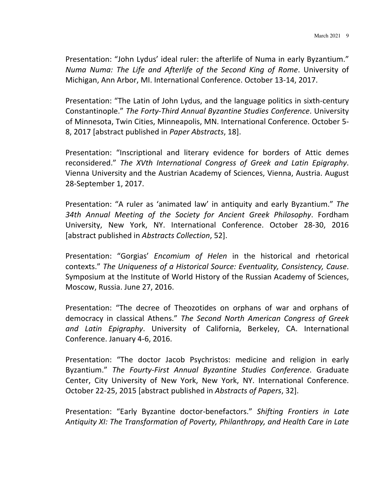Presentation: "John Lydus' ideal ruler: the afterlife of Numa in early Byzantium." *Numa Numa:* The Life and Afterlife of the Second King of Rome. University of Michigan, Ann Arbor, MI. International Conference. October 13-14, 2017.

Presentation: "The Latin of John Lydus, and the language politics in sixth-century Constantinople." The Forty-Third Annual Byzantine Studies Conference. University of Minnesota, Twin Cities, Minneapolis, MN. International Conference. October 5-8, 2017 [abstract published in *Paper Abstracts*, 18].

Presentation: "Inscriptional and literary evidence for borders of Attic demes reconsidered." The XVth International Congress of Greek and Latin Epigraphy. Vienna University and the Austrian Academy of Sciences, Vienna, Austria. August 28-September 1, 2017.

Presentation: "A ruler as 'animated law' in antiquity and early Byzantium." The 34th Annual Meeting of the Society for Ancient Greek Philosophy. Fordham University, New York, NY. International Conference. October 28-30, 2016 [abstract published in *Abstracts Collection*, 52].

Presentation: "Gorgias' *Encomium of Helen* in the historical and rhetorical contexts." The Uniqueness of a Historical Source: Eventuality, Consistency, Cause. Symposium at the Institute of World History of the Russian Academy of Sciences, Moscow, Russia. June 27, 2016.

Presentation: "The decree of Theozotides on orphans of war and orphans of democracy in classical Athens." The Second North American Congress of Greek and Latin Epigraphy. University of California, Berkeley, CA. International Conference. January 4-6, 2016.

Presentation: "The doctor Jacob Psychristos: medicine and religion in early Byzantium." The Fourty-First Annual Byzantine Studies Conference. Graduate Center, City University of New York, New York, NY. International Conference. October 22-25, 2015 [abstract published in *Abstracts of Papers*, 32].

Presentation: "Early Byzantine doctor-benefactors." Shifting Frontiers in Late Antiquity XI: The Transformation of Poverty, Philanthropy, and Health Care in Late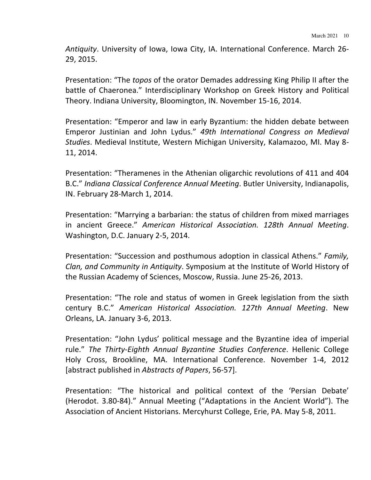Antiquity. University of Iowa, Iowa City, IA. International Conference. March 26-29, 2015.

Presentation: "The *topos* of the orator Demades addressing King Philip II after the battle of Chaeronea." Interdisciplinary Workshop on Greek History and Political Theory. Indiana University, Bloomington, IN. November 15-16, 2014.

Presentation: "Emperor and law in early Byzantium: the hidden debate between Emperor Justinian and John Lydus." 49th International Congress on Medieval Studies. Medieval Institute, Western Michigan University, Kalamazoo, MI. May 8-11, 2014.

Presentation: "Theramenes in the Athenian oligarchic revolutions of 411 and 404 B.C." *Indiana Classical Conference Annual Meeting*. Butler University, Indianapolis, IN. February 28-March 1, 2014.

Presentation: "Marrying a barbarian: the status of children from mixed marriages in ancient Greece." American Historical Association. 128th Annual Meeting. Washington, D.C. January 2-5, 2014.

Presentation: "Succession and posthumous adoption in classical Athens." *Family*, *Clan, and Community in Antiquity*. Symposium at the Institute of World History of the Russian Academy of Sciences, Moscow, Russia. June 25-26, 2013.

Presentation: "The role and status of women in Greek legislation from the sixth century B.C." *American Historical Association. 127th Annual Meeting*. New Orleans, LA. January 3-6, 2013.

Presentation: "John Lydus' political message and the Byzantine idea of imperial rule." The Thirty-Eighth Annual Byzantine Studies Conference. Hellenic College Holy Cross, Brookline, MA. International Conference. November 1-4, 2012 [abstract published in *Abstracts of Papers*, 56-57].

Presentation: "The historical and political context of the 'Persian Debate' (Herodot. 3.80-84)." Annual Meeting ("Adaptations in the Ancient World"). The Association of Ancient Historians. Mercyhurst College, Erie, PA. May 5-8, 2011.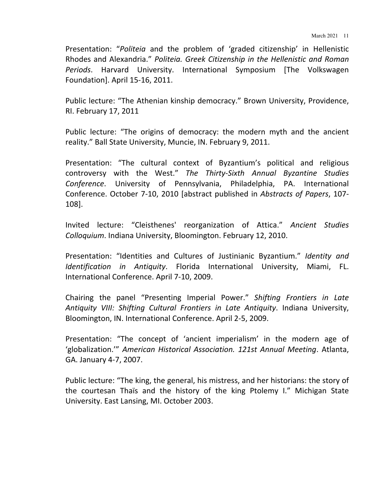Presentation: "*Politeia* and the problem of 'graded citizenship' in Hellenistic Rhodes and Alexandria." *Politeia. Greek Citizenship in the Hellenistic and Roman* Periods. Harvard University. International Symposium [The Volkswagen Foundation]. April 15-16, 2011.

Public lecture: "The Athenian kinship democracy." Brown University, Providence, RI. February 17, 2011

Public lecture: "The origins of democracy: the modern myth and the ancient reality." Ball State University, Muncie, IN. February 9, 2011.

Presentation: "The cultural context of Byzantium's political and religious controversy with the West." The Thirty-Sixth Annual Byzantine Studies Conference. University of Pennsylvania, Philadelphia, PA. International Conference. October 7-10, 2010 [abstract published in *Abstracts of Papers*, 107-108].

Invited lecture: "Cleisthenes' reorganization of Attica." Ancient Studies *Colloquium*. Indiana University, Bloomington. February 12, 2010.

Presentation: "Identities and Cultures of Justinianic Byzantium." *Identity and Identification in Antiquity*. Florida International University, Miami, FL. International Conference. April 7-10, 2009.

Chairing the panel "Presenting Imperial Power." Shifting Frontiers in Late Antiquity VIII: Shifting Cultural Frontiers in Late Antiquity. Indiana University, Bloomington, IN. International Conference. April 2-5, 2009.

Presentation: "The concept of 'ancient imperialism' in the modern age of 'globalization.'" *American Historical Association. 121st Annual Meeting*. Atlanta, GA. January 4-7, 2007.

Public lecture: "The king, the general, his mistress, and her historians: the story of the courtesan Thaïs and the history of the king Ptolemy I." Michigan State University. East Lansing, MI. October 2003.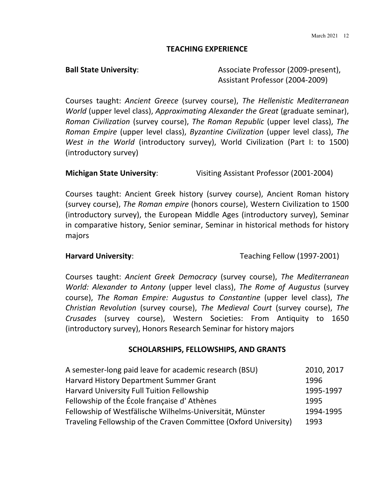#### **TEACHING EXPERIENCE**

**Ball State University:** Associate Professor (2009-present), Assistant Professor (2004-2009)

Courses taught: Ancient Greece (survey course), The Hellenistic Mediterranean *World* (upper level class), *Approximating Alexander the Great* (graduate seminar), *Roman Civilization* (survey course), *The Roman Republic* (upper level class), *The Roman Empire* (upper level class), *Byzantine Civilization* (upper level class), *The West in the World* (introductory survey), World Civilization (Part I: to 1500) (introductory survey)

### **Michigan State University:** Visiting Assistant Professor (2001-2004)

Courses taught: Ancient Greek history (survey course), Ancient Roman history (survey course), *The Roman empire* (honors course), Western Civilization to 1500 (introductory survey), the European Middle Ages (introductory survey), Seminar in comparative history, Senior seminar, Seminar in historical methods for history majors

**Harvard University:** Teaching Fellow (1997-2001)

Courses taught: Ancient Greek Democracy (survey course), The Mediterranean *World: Alexander to Antony* (upper level class), The Rome of Augustus (survey course), The Roman Empire: Augustus to Constantine (upper level class), The *Christian Revolution* (survey course), *The Medieval Court* (survey course), *The Crusades* (survey course), Western Societies: From Antiquity to 1650 (introductory survey), Honors Research Seminar for history majors

### **SCHOLARSHIPS, FELLOWSHIPS, AND GRANTS**

| A semester-long paid leave for academic research (BSU)           | 2010, 2017 |
|------------------------------------------------------------------|------------|
| Harvard History Department Summer Grant                          | 1996       |
| Harvard University Full Tuition Fellowship                       | 1995-1997  |
| Fellowship of the École française d'Athènes                      | 1995       |
| Fellowship of Westfälische Wilhelms-Universität, Münster         | 1994-1995  |
| Traveling Fellowship of the Craven Committee (Oxford University) | 1993       |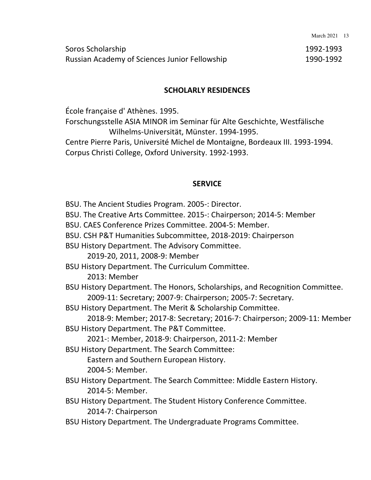| Soros Scholarship                             | 1992-1993 |
|-----------------------------------------------|-----------|
| Russian Academy of Sciences Junior Fellowship | 1990-1992 |

#### **SCHOLARLY RESIDENCES**

École française d' Athènes. 1995.

Forschungsstelle ASIA MINOR im Seminar für Alte Geschichte, Westfälische Wilhelms-Universität, Münster. 1994-1995.

Centre Pierre Paris, Université Michel de Montaigne, Bordeaux III. 1993-1994. Corpus Christi College, Oxford University. 1992-1993.

#### **SERVICE**

BSU. The Ancient Studies Program. 2005-: Director. BSU. The Creative Arts Committee. 2015-: Chairperson; 2014-5: Member BSU. CAES Conference Prizes Committee. 2004-5: Member. BSU. CSH P&T Humanities Subcommittee, 2018-2019: Chairperson BSU History Department. The Advisory Committee. 2019-20, 2011, 2008-9: Member BSU History Department. The Curriculum Committee. 2013: Member BSU History Department. The Honors, Scholarships, and Recognition Committee. 2009-11: Secretary; 2007-9: Chairperson; 2005-7: Secretary. BSU History Department. The Merit & Scholarship Committee. 2018-9: Member; 2017-8: Secretary; 2016-7: Chairperson; 2009-11: Member BSU History Department. The P&T Committee. 2021-: Member, 2018-9: Chairperson, 2011-2: Member **BSU History Department. The Search Committee:** Eastern and Southern European History. 2004-5: Member. BSU History Department. The Search Committee: Middle Eastern History. 2014-5: Member. BSU History Department. The Student History Conference Committee. 2014-7: Chairperson BSU History Department. The Undergraduate Programs Committee.